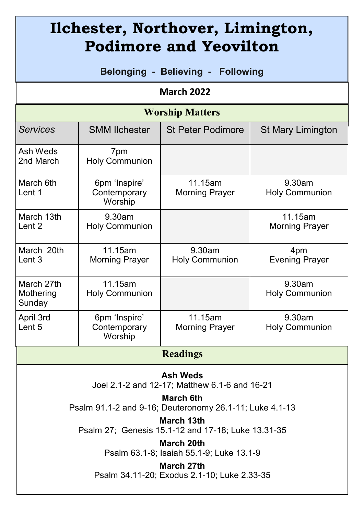| Ilchester, Northover, Limington,<br><b>Podimore and Yeovilton</b>       |                                          |                                  |                                  |
|-------------------------------------------------------------------------|------------------------------------------|----------------------------------|----------------------------------|
| Belonging - Believing -<br><b>Following</b>                             |                                          |                                  |                                  |
| <b>March 2022</b>                                                       |                                          |                                  |                                  |
| <b>Worship Matters</b>                                                  |                                          |                                  |                                  |
| <b>Services</b>                                                         | <b>SMM Ilchester</b>                     | <b>St Peter Podimore</b>         | <b>St Mary Limington</b>         |
| Ash Weds<br>2nd March                                                   | 7pm<br><b>Holy Communion</b>             |                                  |                                  |
| March 6th<br>Lent 1                                                     | 6pm 'Inspire'<br>Contemporary<br>Worship | 11.15am<br><b>Morning Prayer</b> | 9.30am<br><b>Holy Communion</b>  |
| March 13th<br>Lent 2                                                    | 9.30am<br><b>Holy Communion</b>          |                                  | 11.15am<br><b>Morning Prayer</b> |
| March 20th<br>Lent 3                                                    | 11.15am<br><b>Morning Prayer</b>         | 9.30am<br><b>Holy Communion</b>  | 4pm<br><b>Evening Prayer</b>     |
| March 27th<br>Mothering<br>Sunday                                       | 11.15am<br><b>Holy Communion</b>         |                                  | 9.30am<br><b>Holy Communion</b>  |
| April 3rd<br>Lent 5                                                     | 6pm 'Inspire'<br>Contemporary<br>Worship | 11.15am<br><b>Morning Prayer</b> | 9.30am<br><b>Holy Communion</b>  |
| <b>Readings</b>                                                         |                                          |                                  |                                  |
| <b>Ash Weds</b><br>Joel 2.1-2 and 12-17; Matthew 6.1-6 and 16-21        |                                          |                                  |                                  |
| March 6th<br>Psalm 91.1-2 and 9-16; Deuteronomy 26.1-11; Luke 4.1-13    |                                          |                                  |                                  |
| <b>March 13th</b><br>Psalm 27; Genesis 15.1-12 and 17-18; Luke 13.31-35 |                                          |                                  |                                  |
| March 20th<br>Psalm 63.1-8; Isaiah 55.1-9; Luke 13.1-9                  |                                          |                                  |                                  |
| March 27th<br>Psalm 34.11-20; Exodus 2.1-10; Luke 2.33-35               |                                          |                                  |                                  |